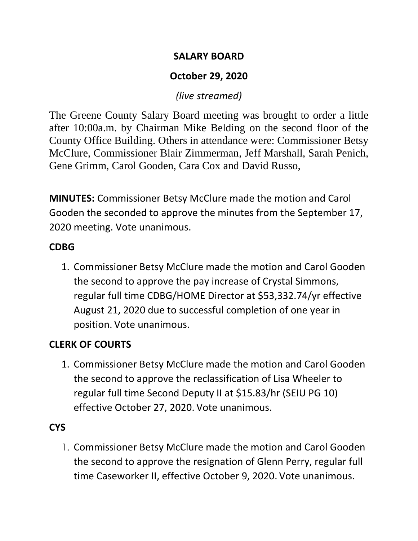#### **SALARY BOARD**

# **October 29, 2020**

## *(live streamed)*

The Greene County Salary Board meeting was brought to order a little after 10:00a.m. by Chairman Mike Belding on the second floor of the County Office Building. Others in attendance were: Commissioner Betsy McClure, Commissioner Blair Zimmerman, Jeff Marshall, Sarah Penich, Gene Grimm, Carol Gooden, Cara Cox and David Russo,

**MINUTES:** Commissioner Betsy McClure made the motion and Carol Gooden the seconded to approve the minutes from the September 17, 2020 meeting. Vote unanimous.

## **CDBG**

1. Commissioner Betsy McClure made the motion and Carol Gooden the second to approve the pay increase of Crystal Simmons, regular full time CDBG/HOME Director at \$53,332.74/yr effective August 21, 2020 due to successful completion of one year in position. Vote unanimous.

## **CLERK OF COURTS**

1. Commissioner Betsy McClure made the motion and Carol Gooden the second to approve the reclassification of Lisa Wheeler to regular full time Second Deputy II at \$15.83/hr (SEIU PG 10) effective October 27, 2020. Vote unanimous.

# **CYS**

1. Commissioner Betsy McClure made the motion and Carol Gooden the second to approve the resignation of Glenn Perry, regular full time Caseworker II, effective October 9, 2020. Vote unanimous.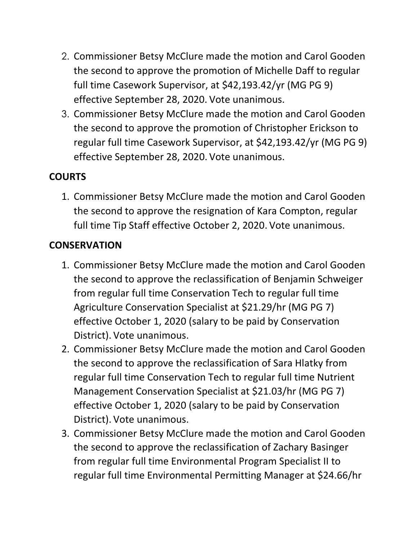- 2. Commissioner Betsy McClure made the motion and Carol Gooden the second to approve the promotion of Michelle Daff to regular full time Casework Supervisor, at \$42,193.42/yr (MG PG 9) effective September 28, 2020. Vote unanimous.
- 3. Commissioner Betsy McClure made the motion and Carol Gooden the second to approve the promotion of Christopher Erickson to regular full time Casework Supervisor, at \$42,193.42/yr (MG PG 9) effective September 28, 2020. Vote unanimous.

## **COURTS**

1. Commissioner Betsy McClure made the motion and Carol Gooden the second to approve the resignation of Kara Compton, regular full time Tip Staff effective October 2, 2020. Vote unanimous.

#### **CONSERVATION**

- 1. Commissioner Betsy McClure made the motion and Carol Gooden the second to approve the reclassification of Benjamin Schweiger from regular full time Conservation Tech to regular full time Agriculture Conservation Specialist at \$21.29/hr (MG PG 7) effective October 1, 2020 (salary to be paid by Conservation District). Vote unanimous.
- 2. Commissioner Betsy McClure made the motion and Carol Gooden the second to approve the reclassification of Sara Hlatky from regular full time Conservation Tech to regular full time Nutrient Management Conservation Specialist at \$21.03/hr (MG PG 7) effective October 1, 2020 (salary to be paid by Conservation District). Vote unanimous.
- 3. Commissioner Betsy McClure made the motion and Carol Gooden the second to approve the reclassification of Zachary Basinger from regular full time Environmental Program Specialist II to regular full time Environmental Permitting Manager at \$24.66/hr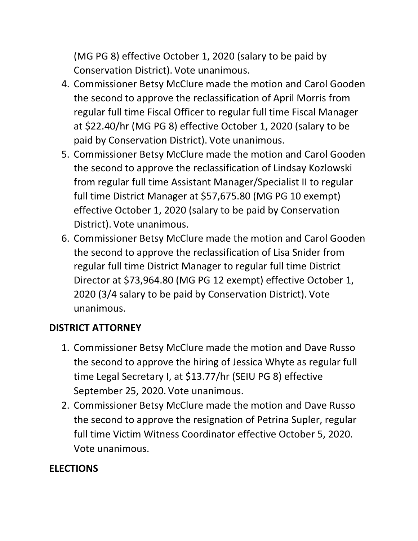(MG PG 8) effective October 1, 2020 (salary to be paid by Conservation District). Vote unanimous.

- 4. Commissioner Betsy McClure made the motion and Carol Gooden the second to approve the reclassification of April Morris from regular full time Fiscal Officer to regular full time Fiscal Manager at \$22.40/hr (MG PG 8) effective October 1, 2020 (salary to be paid by Conservation District). Vote unanimous.
- 5. Commissioner Betsy McClure made the motion and Carol Gooden the second to approve the reclassification of Lindsay Kozlowski from regular full time Assistant Manager/Specialist II to regular full time District Manager at \$57,675.80 (MG PG 10 exempt) effective October 1, 2020 (salary to be paid by Conservation District). Vote unanimous.
- 6. Commissioner Betsy McClure made the motion and Carol Gooden the second to approve the reclassification of Lisa Snider from regular full time District Manager to regular full time District Director at \$73,964.80 (MG PG 12 exempt) effective October 1, 2020 (3/4 salary to be paid by Conservation District). Vote unanimous.

## **DISTRICT ATTORNEY**

- 1. Commissioner Betsy McClure made the motion and Dave Russo the second to approve the hiring of Jessica Whyte as regular full time Legal Secretary I, at \$13.77/hr (SEIU PG 8) effective September 25, 2020. Vote unanimous.
- 2. Commissioner Betsy McClure made the motion and Dave Russo the second to approve the resignation of Petrina Supler, regular full time Victim Witness Coordinator effective October 5, 2020. Vote unanimous.

## **ELECTIONS**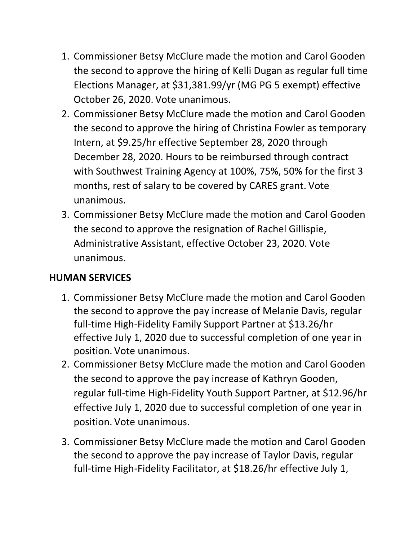- 1. Commissioner Betsy McClure made the motion and Carol Gooden the second to approve the hiring of Kelli Dugan as regular full time Elections Manager, at \$31,381.99/yr (MG PG 5 exempt) effective October 26, 2020. Vote unanimous.
- 2. Commissioner Betsy McClure made the motion and Carol Gooden the second to approve the hiring of Christina Fowler as temporary Intern, at \$9.25/hr effective September 28, 2020 through December 28, 2020. Hours to be reimbursed through contract with Southwest Training Agency at 100%, 75%, 50% for the first 3 months, rest of salary to be covered by CARES grant. Vote unanimous.
- 3. Commissioner Betsy McClure made the motion and Carol Gooden the second to approve the resignation of Rachel Gillispie, Administrative Assistant, effective October 23, 2020. Vote unanimous.

#### **HUMAN SERVICES**

- 1. Commissioner Betsy McClure made the motion and Carol Gooden the second to approve the pay increase of Melanie Davis, regular full-time High-Fidelity Family Support Partner at \$13.26/hr effective July 1, 2020 due to successful completion of one year in position. Vote unanimous.
- 2. Commissioner Betsy McClure made the motion and Carol Gooden the second to approve the pay increase of Kathryn Gooden, regular full-time High-Fidelity Youth Support Partner, at \$12.96/hr effective July 1, 2020 due to successful completion of one year in position. Vote unanimous.
- 3. Commissioner Betsy McClure made the motion and Carol Gooden the second to approve the pay increase of Taylor Davis, regular full-time High-Fidelity Facilitator, at \$18.26/hr effective July 1,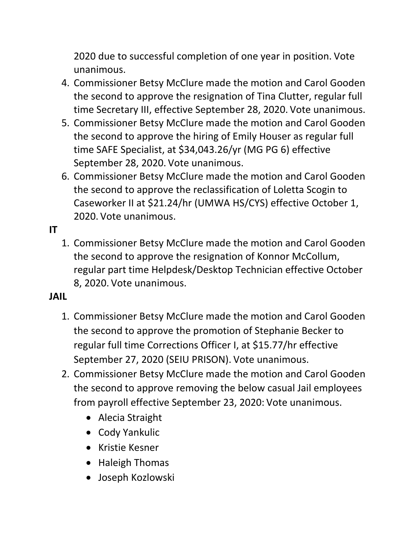2020 due to successful completion of one year in position. Vote unanimous.

- 4. Commissioner Betsy McClure made the motion and Carol Gooden the second to approve the resignation of Tina Clutter, regular full time Secretary III, effective September 28, 2020. Vote unanimous.
- 5. Commissioner Betsy McClure made the motion and Carol Gooden the second to approve the hiring of Emily Houser as regular full time SAFE Specialist, at \$34,043.26/yr (MG PG 6) effective September 28, 2020. Vote unanimous.
- 6. Commissioner Betsy McClure made the motion and Carol Gooden the second to approve the reclassification of Loletta Scogin to Caseworker II at \$21.24/hr (UMWA HS/CYS) effective October 1, 2020. Vote unanimous.

## **IT**

1. Commissioner Betsy McClure made the motion and Carol Gooden the second to approve the resignation of Konnor McCollum, regular part time Helpdesk/Desktop Technician effective October 8, 2020. Vote unanimous.

#### **JAIL**

- 1. Commissioner Betsy McClure made the motion and Carol Gooden the second to approve the promotion of Stephanie Becker to regular full time Corrections Officer I, at \$15.77/hr effective September 27, 2020 (SEIU PRISON). Vote unanimous.
- 2. Commissioner Betsy McClure made the motion and Carol Gooden the second to approve removing the below casual Jail employees from payroll effective September 23, 2020: Vote unanimous.
	- Alecia Straight
	- Cody Yankulic
	- Kristie Kesner
	- Haleigh Thomas
	- Joseph Kozlowski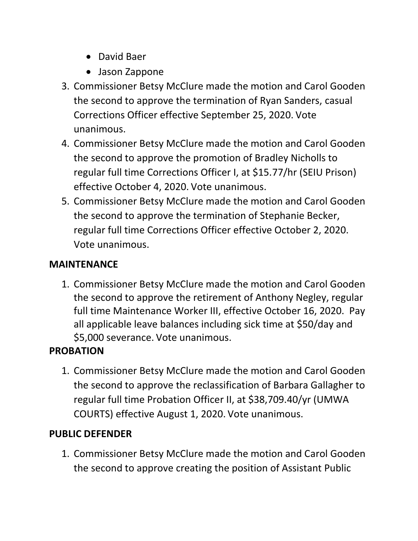- David Baer
- Jason Zappone
- 3. Commissioner Betsy McClure made the motion and Carol Gooden the second to approve the termination of Ryan Sanders, casual Corrections Officer effective September 25, 2020. Vote unanimous.
- 4. Commissioner Betsy McClure made the motion and Carol Gooden the second to approve the promotion of Bradley Nicholls to regular full time Corrections Officer I, at \$15.77/hr (SEIU Prison) effective October 4, 2020. Vote unanimous.
- 5. Commissioner Betsy McClure made the motion and Carol Gooden the second to approve the termination of Stephanie Becker, regular full time Corrections Officer effective October 2, 2020. Vote unanimous.

# **MAINTENANCE**

1. Commissioner Betsy McClure made the motion and Carol Gooden the second to approve the retirement of Anthony Negley, regular full time Maintenance Worker III, effective October 16, 2020. Pay all applicable leave balances including sick time at \$50/day and \$5,000 severance. Vote unanimous.

# **PROBATION**

1. Commissioner Betsy McClure made the motion and Carol Gooden the second to approve the reclassification of Barbara Gallagher to regular full time Probation Officer II, at \$38,709.40/yr (UMWA COURTS) effective August 1, 2020. Vote unanimous.

# **PUBLIC DEFENDER**

1. Commissioner Betsy McClure made the motion and Carol Gooden the second to approve creating the position of Assistant Public